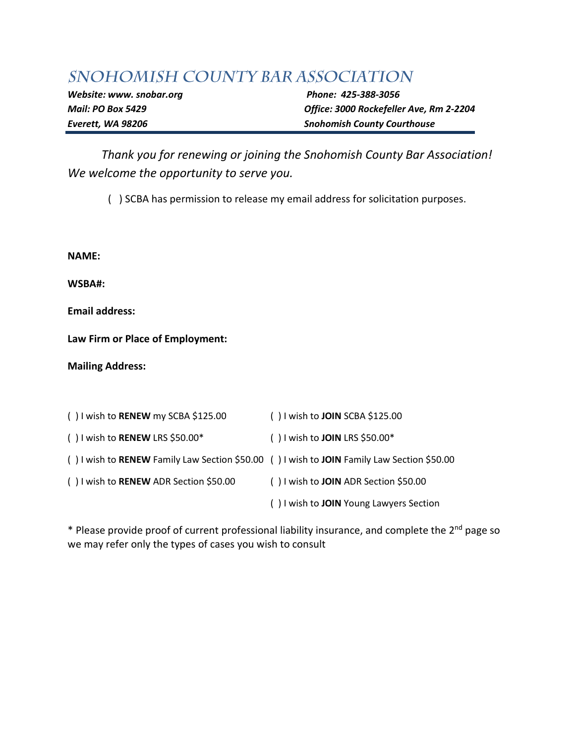## SNOHOMISH COUNTY BAR ASSOCIATION

*Website: www. snobar.org* Phone: 425-388-3056

*Mail: PO Box 5429 Office: 3000 Rockefeller Ave, Rm 2-2204 Everett, WA 98206 Snohomish County Courthouse*

*Thank you for renewing or joining the Snohomish County Bar Association! We welcome the opportunity to serve you.*

( ) SCBA has permission to release my email address for solicitation purposes.

**NAME:**

**WSBA#:**

**Email address:**

**Law Firm or Place of Employment:**

**Mailing Address:**

| () I wish to RENEW my SCBA \$125.00                                                        | () I wish to JOIN SCBA \$125.00         |
|--------------------------------------------------------------------------------------------|-----------------------------------------|
| () I wish to RENEW LRS \$50.00*                                                            | () I wish to JOIN LRS \$50.00*          |
| () I wish to RENEW Family Law Section \$50.00 () I wish to JOIN Family Law Section \$50.00 |                                         |
| () I wish to RENEW ADR Section \$50.00                                                     | () I wish to JOIN ADR Section \$50.00   |
|                                                                                            | () I wish to JOIN Young Lawyers Section |

\* Please provide proof of current professional liability insurance, and complete the 2nd page so we may refer only the types of cases you wish to consult